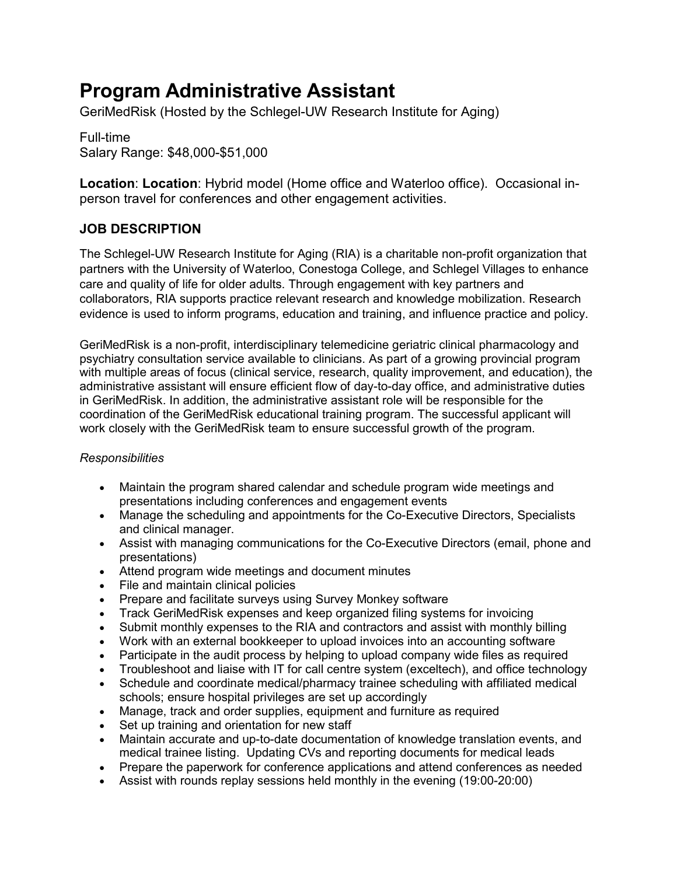# **Program Administrative Assistant**

GeriMedRisk (Hosted by the Schlegel-UW Research Institute for Aging)

Full-time Salary Range: \$48,000-\$51,000

**Location**: **Location**: Hybrid model (Home office and Waterloo office). Occasional inperson travel for conferences and other engagement activities.

## **JOB DESCRIPTION**

The Schlegel-UW Research Institute for Aging (RIA) is a charitable non-profit organization that partners with the University of Waterloo, Conestoga College, and Schlegel Villages to enhance care and quality of life for older adults. Through engagement with key partners and collaborators, RIA supports practice relevant research and knowledge mobilization. Research evidence is used to inform programs, education and training, and influence practice and policy.

GeriMedRisk is a non-profit, interdisciplinary telemedicine geriatric clinical pharmacology and psychiatry consultation service available to clinicians. As part of a growing provincial program with multiple areas of focus (clinical service, research, quality improvement, and education), the administrative assistant will ensure efficient flow of day-to-day office, and administrative duties in GeriMedRisk. In addition, the administrative assistant role will be responsible for the coordination of the GeriMedRisk educational training program. The successful applicant will work closely with the GeriMedRisk team to ensure successful growth of the program.

## *Responsibilities*

- Maintain the program shared calendar and schedule program wide meetings and presentations including conferences and engagement events
- Manage the scheduling and appointments for the Co-Executive Directors, Specialists and clinical manager.
- Assist with managing communications for the Co-Executive Directors (email, phone and presentations)
- Attend program wide meetings and document minutes
- File and maintain clinical policies
- Prepare and facilitate surveys using Survey Monkey software
- Track GeriMedRisk expenses and keep organized filing systems for invoicing
- Submit monthly expenses to the RIA and contractors and assist with monthly billing
- Work with an external bookkeeper to upload invoices into an accounting software
- Participate in the audit process by helping to upload company wide files as required
- Troubleshoot and liaise with IT for call centre system (exceltech), and office technology
- Schedule and coordinate medical/pharmacy trainee scheduling with affiliated medical schools; ensure hospital privileges are set up accordingly
- Manage, track and order supplies, equipment and furniture as required
- Set up training and orientation for new staff
- Maintain accurate and up-to-date documentation of knowledge translation events, and medical trainee listing. Updating CVs and reporting documents for medical leads
- Prepare the paperwork for conference applications and attend conferences as needed
- Assist with rounds replay sessions held monthly in the evening (19:00-20:00)